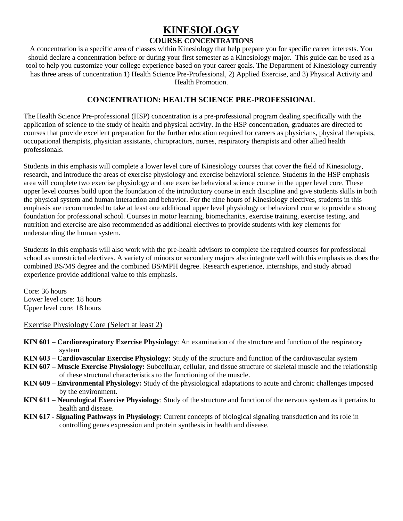## **KINESIOLOGY**

## **COURSE CONCENTRATIONS**

A concentration is a specific area of classes within Kinesiology that help prepare you for specific career interests. You should declare a concentration before or during your first semester as a Kinesiology major. This guide can be used as a tool to help you customize your college experience based on your career goals. The Department of Kinesiology currently has three areas of concentration 1) Health Science Pre-Professional, 2) Applied Exercise, and 3) Physical Activity and Health Promotion.

## **CONCENTRATION: HEALTH SCIENCE PRE-PROFESSIONAL**

The Health Science Pre-professional (HSP) concentration is a pre-professional program dealing specifically with the application of science to the study of health and physical activity. In the HSP concentration, graduates are directed to courses that provide excellent preparation for the further education required for careers as physicians, physical therapists, occupational therapists, physician assistants, chiropractors, nurses, respiratory therapists and other allied health professionals.

Students in this emphasis will complete a lower level core of Kinesiology courses that cover the field of Kinesiology, research, and introduce the areas of exercise physiology and exercise behavioral science. Students in the HSP emphasis area will complete two exercise physiology and one exercise behavioral science course in the upper level core. These upper level courses build upon the foundation of the introductory course in each discipline and give students skills in both the physical system and human interaction and behavior. For the nine hours of Kinesiology electives, students in this emphasis are recommended to take at least one additional upper level physiology or behavioral course to provide a strong foundation for professional school. Courses in motor learning, biomechanics, exercise training, exercise testing, and nutrition and exercise are also recommended as additional electives to provide students with key elements for understanding the human system.

Students in this emphasis will also work with the pre-health advisors to complete the required courses for professional school as unrestricted electives. A variety of minors or secondary majors also integrate well with this emphasis as does the combined BS/MS degree and the combined BS/MPH degree. Research experience, internships, and study abroad experience provide additional value to this emphasis.

Core: 36 hours Lower level core: 18 hours Upper level core: 18 hours

Exercise Physiology Core (Select at least 2)

- **KIN 601 – Cardiorespiratory Exercise Physiology**: An examination of the structure and function of the respiratory system
- **KIN 603 – Cardiovascular Exercise Physiology**: Study of the structure and function of the cardiovascular system
- **KIN 607 – Muscle Exercise Physiology:** Subcellular, cellular, and tissue structure of skeletal muscle and the relationship of these structural characteristics to the functioning of the muscle.
- **KIN 609 – Environmental Physiology:** Study of the physiological adaptations to acute and chronic challenges imposed by the environment.
- **KIN 611 – Neurological Exercise Physiology**: Study of the structure and function of the nervous system as it pertains to health and disease.
- **KIN 617 - Signaling Pathways in Physiology**: Current concepts of biological signaling transduction and its role in controlling genes expression and protein synthesis in health and disease.